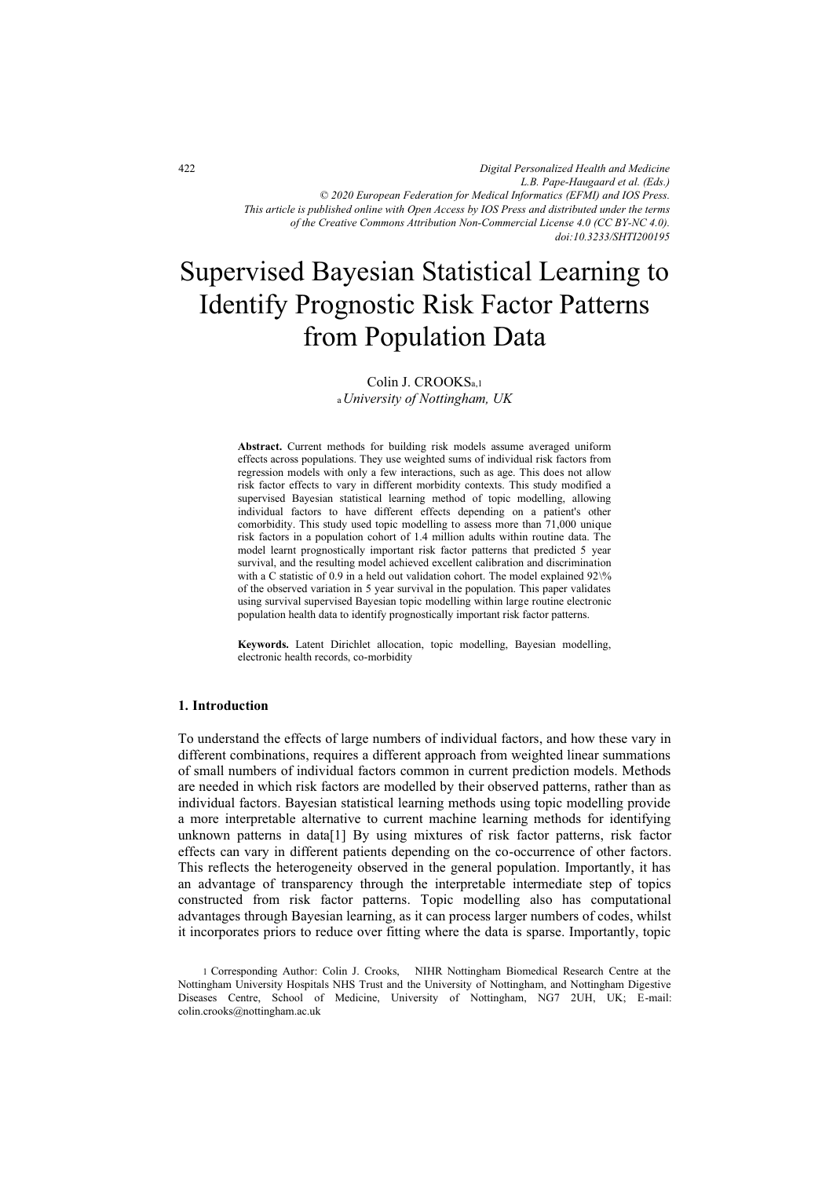*Digital Personalized Health and Medicine L.B. Pape-Haugaard et al. (Eds.) © 2020 European Federation for Medical Informatics (EFMI) and IOS Press. This article is published online with Open Access by IOS Press and distributed under the terms of the Creative Commons Attribution Non-Commercial License 4.0 (CC BY-NC 4.0). doi:10.3233/SHTI200195*

# Supervised Bayesian Statistical Learning to Identify Prognostic Risk Factor Patterns from Population Data

# Colin J. CROOKSa,1 <sup>a</sup>*University of Nottingham, UK*

**Abstract.** Current methods for building risk models assume averaged uniform effects across populations. They use weighted sums of individual risk factors from regression models with only a few interactions, such as age. This does not allow risk factor effects to vary in different morbidity contexts. This study modified a supervised Bayesian statistical learning method of topic modelling, allowing individual factors to have different effects depending on a patient's other comorbidity. This study used topic modelling to assess more than 71,000 unique risk factors in a population cohort of 1.4 million adults within routine data. The model learnt prognostically important risk factor patterns that predicted 5 year survival, and the resulting model achieved excellent calibration and discrimination with a C statistic of 0.9 in a held out validation cohort. The model explained  $92\%$ of the observed variation in 5 year survival in the population. This paper validates using survival supervised Bayesian topic modelling within large routine electronic population health data to identify prognostically important risk factor patterns.

**Keywords.** Latent Dirichlet allocation, topic modelling, Bayesian modelling, electronic health records, co-morbidity

#### **1. Introduction**

To understand the effects of large numbers of individual factors, and how these vary in different combinations, requires a different approach from weighted linear summations of small numbers of individual factors common in current prediction models. Methods are needed in which risk factors are modelled by their observed patterns, rather than as individual factors. Bayesian statistical learning methods using topic modelling provide a more interpretable alternative to current machine learning methods for identifying unknown patterns in data[1] By using mixtures of risk factor patterns, risk factor effects can vary in different patients depending on the co-occurrence of other factors. This reflects the heterogeneity observed in the general population. Importantly, it has an advantage of transparency through the interpretable intermediate step of topics constructed from risk factor patterns. Topic modelling also has computational advantages through Bayesian learning, as it can process larger numbers of codes, whilst it incorporates priors to reduce over fitting where the data is sparse. Importantly, topic

<sup>1</sup> Corresponding Author: Colin J. Crooks, NIHR Nottingham Biomedical Research Centre at the Nottingham University Hospitals NHS Trust and the University of Nottingham, and Nottingham Digestive Diseases Centre, School of Medicine, University of Nottingham, NG7 2UH, UK; E-mail: colin.crooks@nottingham.ac.uk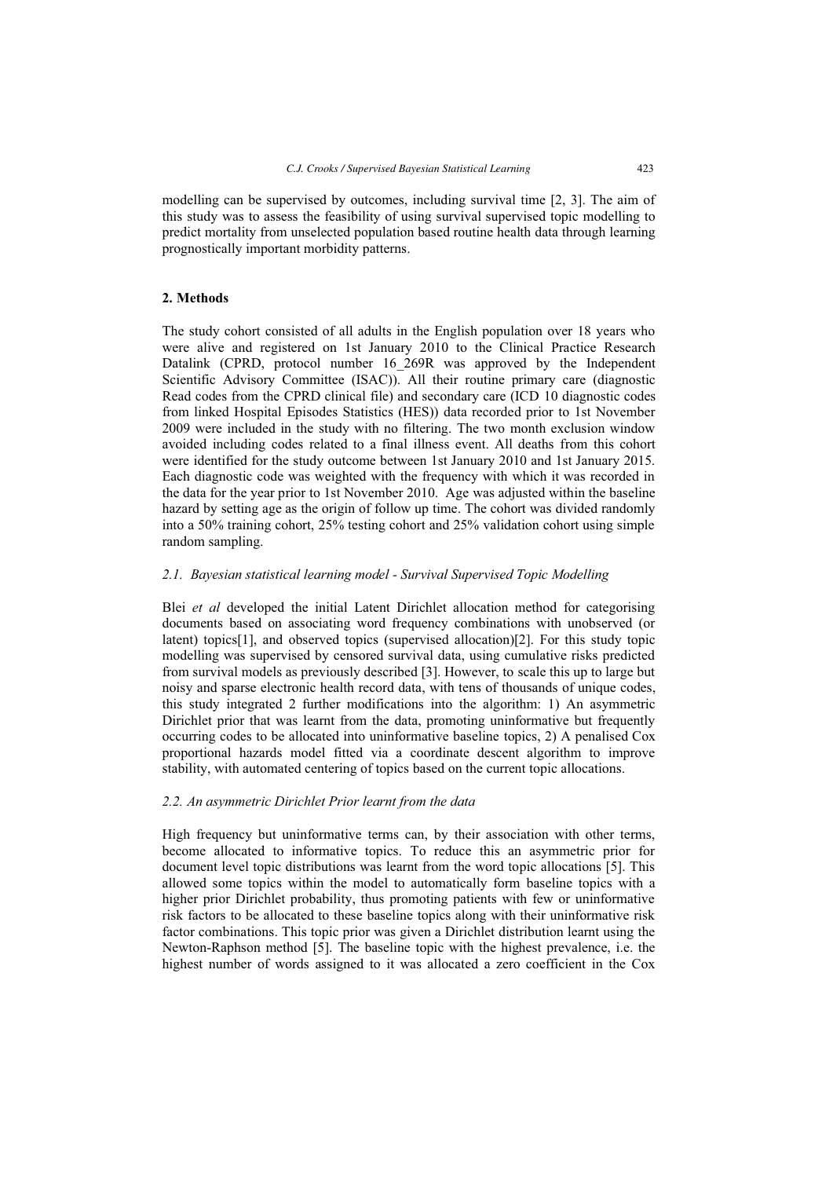modelling can be supervised by outcomes, including survival time [2, 3]. The aim of this study was to assess the feasibility of using survival supervised topic modelling to predict mortality from unselected population based routine health data through learning prognostically important morbidity patterns.

# **2. Methods**

The study cohort consisted of all adults in the English population over 18 years who were alive and registered on 1st January 2010 to the Clinical Practice Research Datalink (CPRD, protocol number 16\_269R was approved by the Independent Scientific Advisory Committee (ISAC)). All their routine primary care (diagnostic Read codes from the CPRD clinical file) and secondary care (ICD 10 diagnostic codes from linked Hospital Episodes Statistics (HES)) data recorded prior to 1st November 2009 were included in the study with no filtering. The two month exclusion window avoided including codes related to a final illness event. All deaths from this cohort were identified for the study outcome between 1st January 2010 and 1st January 2015. Each diagnostic code was weighted with the frequency with which it was recorded in the data for the year prior to 1st November 2010. Age was adjusted within the baseline hazard by setting age as the origin of follow up time. The cohort was divided randomly into a 50% training cohort, 25% testing cohort and 25% validation cohort using simple random sampling.

# *2.1. Bayesian statistical learning model - Survival Supervised Topic Modelling*

Blei *et al* developed the initial Latent Dirichlet allocation method for categorising documents based on associating word frequency combinations with unobserved (or latent) topics[1], and observed topics (supervised allocation)[2]. For this study topic modelling was supervised by censored survival data, using cumulative risks predicted from survival models as previously described [3]. However, to scale this up to large but noisy and sparse electronic health record data, with tens of thousands of unique codes, this study integrated 2 further modifications into the algorithm: 1) An asymmetric Dirichlet prior that was learnt from the data, promoting uninformative but frequently occurring codes to be allocated into uninformative baseline topics, 2) A penalised Cox proportional hazards model fitted via a coordinate descent algorithm to improve stability, with automated centering of topics based on the current topic allocations.

### *2.2. An asymmetric Dirichlet Prior learnt from the data*

High frequency but uninformative terms can, by their association with other terms, become allocated to informative topics. To reduce this an asymmetric prior for document level topic distributions was learnt from the word topic allocations [5]. This allowed some topics within the model to automatically form baseline topics with a higher prior Dirichlet probability, thus promoting patients with few or uninformative risk factors to be allocated to these baseline topics along with their uninformative risk factor combinations. This topic prior was given a Dirichlet distribution learnt using the Newton-Raphson method [5]. The baseline topic with the highest prevalence, i.e. the highest number of words assigned to it was allocated a zero coefficient in the Cox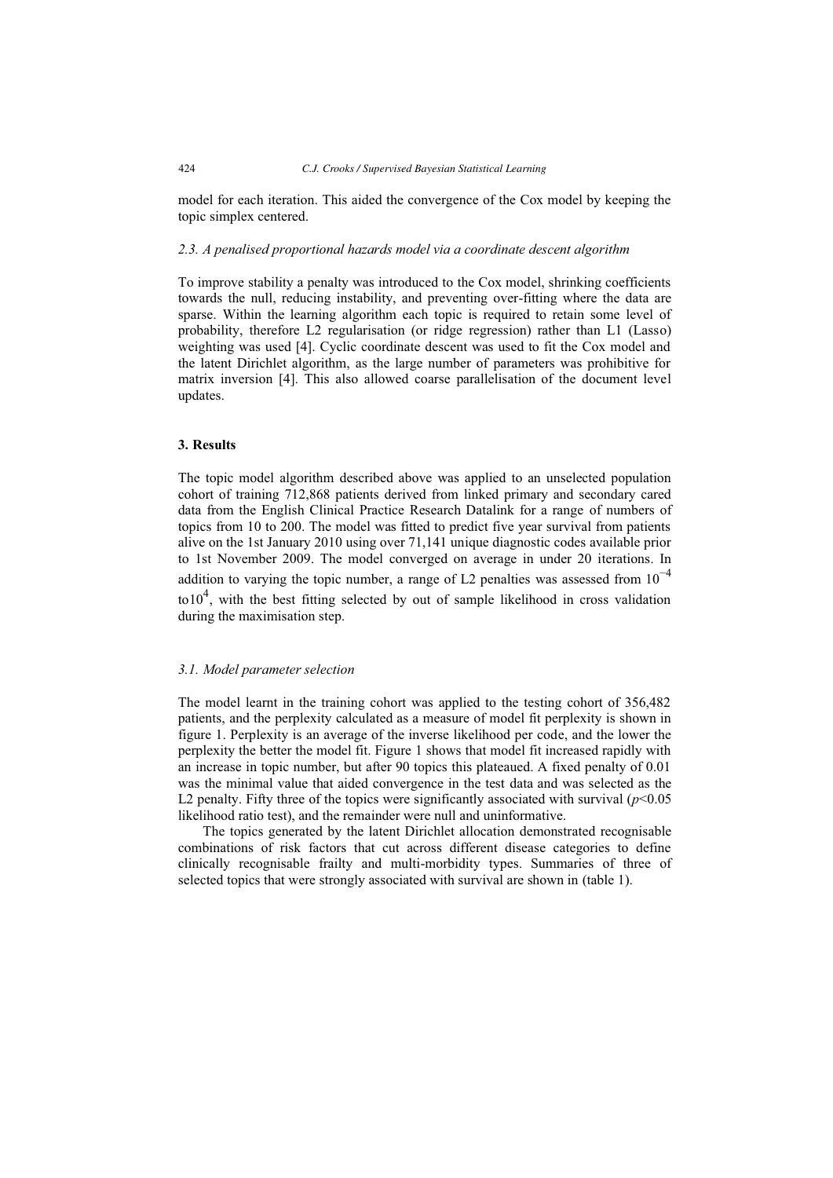model for each iteration. This aided the convergence of the Cox model by keeping the topic simplex centered.

### *2.3. A penalised proportional hazards model via a coordinate descent algorithm*

To improve stability a penalty was introduced to the Cox model, shrinking coefficients towards the null, reducing instability, and preventing over-fitting where the data are sparse. Within the learning algorithm each topic is required to retain some level of probability, therefore L2 regularisation (or ridge regression) rather than L1 (Lasso) weighting was used [4]. Cyclic coordinate descent was used to fit the Cox model and the latent Dirichlet algorithm, as the large number of parameters was prohibitive for matrix inversion [4]. This also allowed coarse parallelisation of the document level updates.

### **3. Results**

The topic model algorithm described above was applied to an unselected population cohort of training 712,868 patients derived from linked primary and secondary cared data from the English Clinical Practice Research Datalink for a range of numbers of topics from 10 to 200. The model was fitted to predict five year survival from patients alive on the 1st January 2010 using over 71,141 unique diagnostic codes available prior to 1st November 2009. The model converged on average in under 20 iterations. In addition to varying the topic number, a range of L2 penalties was assessed from  $10^{-4}$ to10<sup>4</sup>, with the best fitting selected by out of sample likelihood in cross validation during the maximisation step.

## *3.1. Model parameter selection*

The model learnt in the training cohort was applied to the testing cohort of 356,482 patients, and the perplexity calculated as a measure of model fit perplexity is shown in figure 1. Perplexity is an average of the inverse likelihood per code, and the lower the perplexity the better the model fit. Figure 1 shows that model fit increased rapidly with an increase in topic number, but after 90 topics this plateaued. A fixed penalty of 0.01 was the minimal value that aided convergence in the test data and was selected as the L2 penalty. Fifty three of the topics were significantly associated with survival  $(p<0.05$ likelihood ratio test), and the remainder were null and uninformative.

The topics generated by the latent Dirichlet allocation demonstrated recognisable combinations of risk factors that cut across different disease categories to define clinically recognisable frailty and multi-morbidity types. Summaries of three of selected topics that were strongly associated with survival are shown in (table 1).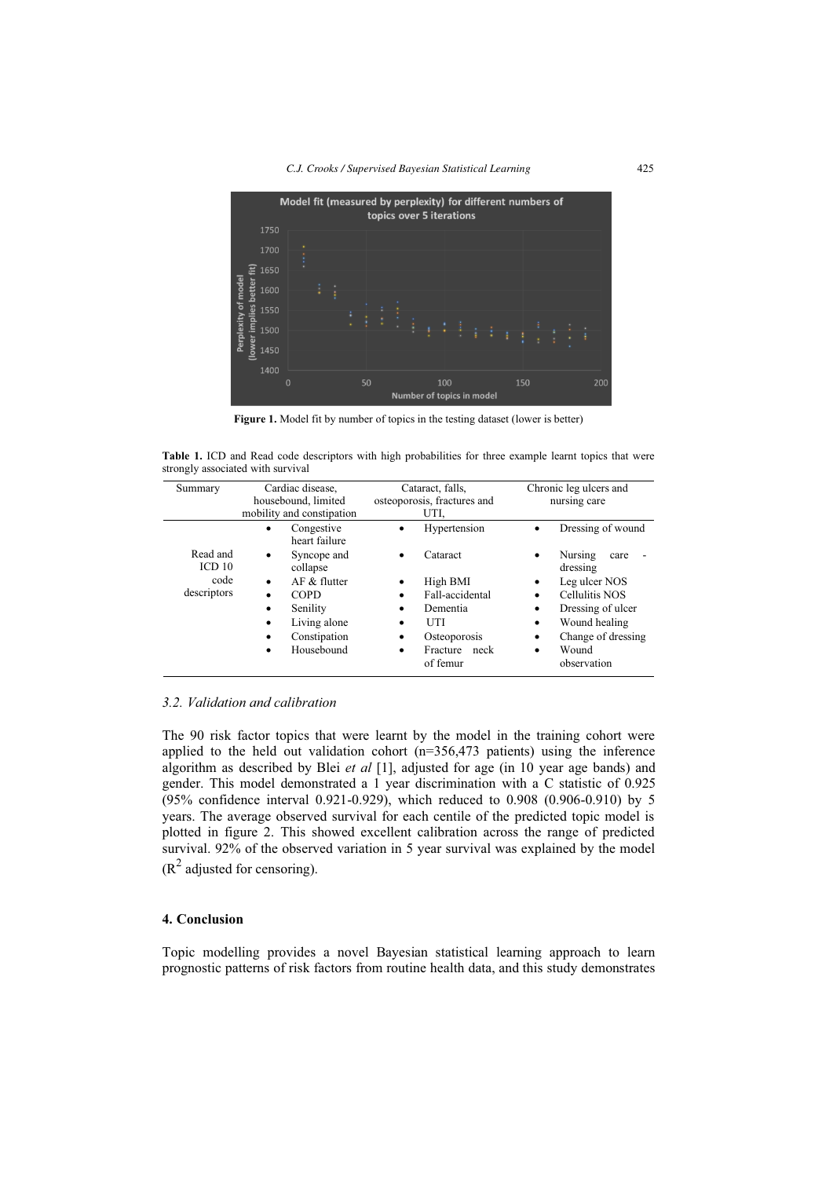

**Figure 1.** Model fit by number of topics in the testing dataset (lower is better)

**Table 1.** ICD and Read code descriptors with high probabilities for three example learnt topics that were strongly associated with survival

| Summary                       | Cardiac disease,                 | Cataract, falls,                  | Chronic leg ulcers and           |
|-------------------------------|----------------------------------|-----------------------------------|----------------------------------|
|                               | housebound, limited              | osteoporosis, fractures and       | nursing care                     |
|                               | mobility and constipation        | UTI.                              |                                  |
|                               | Congestive<br>٠<br>heart failure | Hypertension<br>٠                 | Dressing of wound<br>٠           |
| Read and<br>ICD <sub>10</sub> | Syncope and<br>٠<br>collapse     | Cataract<br>$\bullet$             | Nursing<br>care<br>٠<br>dressing |
| code                          | $AF &$ flutter<br>$\bullet$      | High BMI<br>٠                     | Leg ulcer NOS<br>٠               |
| descriptors                   | <b>COPD</b><br>٠                 | Fall-accidental<br>٠              | Cellulitis NOS<br>٠              |
|                               | Senility<br>٠                    | Dementia<br>٠                     | Dressing of ulcer<br>٠           |
|                               | Living alone<br>$\bullet$        | UTI<br>$\bullet$                  | Wound healing<br>٠               |
|                               | Constipation<br>٠                | Osteoporosis<br>٠                 | Change of dressing<br>٠          |
|                               | Housebound<br>٠                  | Fracture<br>neck<br>٠<br>of femur | Wound<br>٠<br>observation        |

#### *3.2. Validation and calibration*

The 90 risk factor topics that were learnt by the model in the training cohort were applied to the held out validation cohort  $(n=356,473)$  patients) using the inference algorithm as described by Blei *et al* [1], adjusted for age (in 10 year age bands) and gender. This model demonstrated a 1 year discrimination with a C statistic of 0.925 (95% confidence interval 0.921-0.929), which reduced to 0.908 (0.906-0.910) by 5 years. The average observed survival for each centile of the predicted topic model is plotted in figure 2. This showed excellent calibration across the range of predicted survival. 92% of the observed variation in 5 year survival was explained by the model  $(R^2$  adjusted for censoring).

#### **4. Conclusion**

Topic modelling provides a novel Bayesian statistical learning approach to learn prognostic patterns of risk factors from routine health data, and this study demonstrates